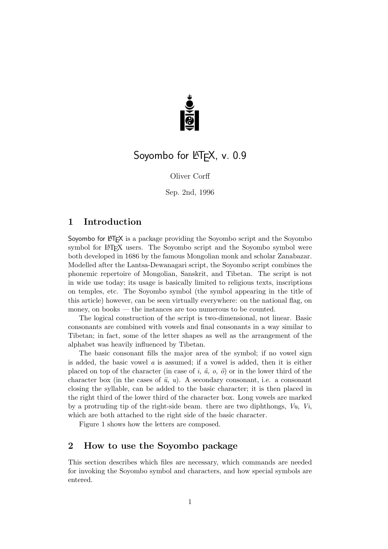

# Soyombo for LATEX, v. 0.9

Oliver Corff

Sep. 2nd, 1996

## 1 Introduction

Soyombo for LATEX is a package providing the Soyombo script and the Soyombo symbol for LAT<sub>EX</sub> users. The Soyombo script and the Soyombo symbol were both developed in 1686 by the famous Mongolian monk and scholar Zanabazar. Modelled after the Lantsa-Dewanagari script, the Soyombo script combines the phonemic repertoire of Mongolian, Sanskrit, and Tibetan. The script is not in wide use today; its usage is basically limited to religious texts, inscriptions on temples, etc. The Soyombo symbol (the symbol appearing in the title of this article) however, can be seen virtually everywhere: on the national flag, on money, on books — the instances are too numerous to be counted.

The logical construction of the script is two-dimensional, not linear. Basic consonants are combined with vowels and final consonants in a way similar to Tibetan; in fact, some of the letter shapes as well as the arrangement of the alphabet was heavily influenced by Tibetan.

The basic consonant fills the major area of the symbol; if no vowel sign is added, the basic vowel  $\alpha$  is assumed; if a vowel is added, then it is either placed on top of the character (in case of i,  $\ddot{a}$ , o,  $\ddot{o}$ ) or in the lower third of the character box (in the cases of  $\ddot{u}$ ,  $u$ ). A secondary consonant, i.e. a consonant closing the syllable, can be added to the basic character; it is then placed in the right third of the lower third of the character box. Long vowels are marked by a protruding tip of the right-side beam. there are two diphthongs,  $Vu, Vi,$ which are both attached to the right side of the basic character.

Figure 1 shows how the letters are composed.

# 2 How to use the Soyombo package

This section describes which files are necessary, which commands are needed for invoking the Soyombo symbol and characters, and how special symbols are entered.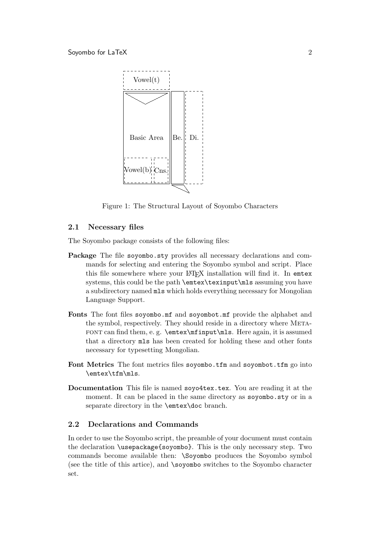

Figure 1: The Structural Layout of Soyombo Characters

#### 2.1 Necessary files

The Soyombo package consists of the following files:

- Package The file soyombo.sty provides all necessary declarations and commands for selecting and entering the Soyombo symbol and script. Place this file somewhere where your LATFX installation will find it. In emtex systems, this could be the path \emtex\texinput\mls assuming you have a subdirectory named mls which holds everything necessary for Mongolian Language Support.
- Fonts The font files soyombo.mf and soyombot.mf provide the alphabet and the symbol, respectively. They should reside in a directory where METAfont can find them, e. g. \emtex\mfinput\mls. Here again, it is assumed that a directory mls has been created for holding these and other fonts necessary for typesetting Mongolian.
- Font Metrics The font metrics files soyombo.tfm and soyombot.tfm go into \emtex\tfm\mls.
- Documentation This file is named soyo4tex.tex. You are reading it at the moment. It can be placed in the same directory as soyombo.sty or in a separate directory in the \emtex\doc branch.

#### 2.2 Declarations and Commands

In order to use the Soyombo script, the preamble of your document must contain the declaration \usepackage{soyombo}. This is the only necessary step. Two commands become available then: \Soyombo produces the Soyombo symbol (see the title of this artice), and \soyombo switches to the Soyombo character set.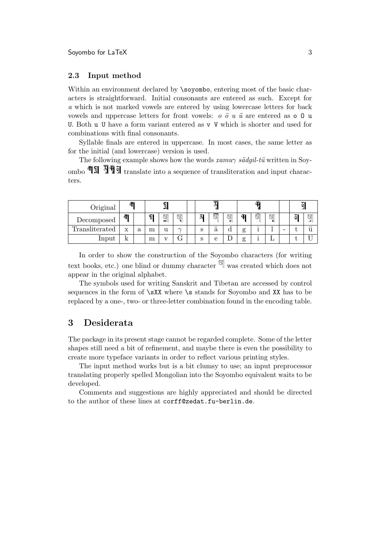#### 2.3 Input method

Within an environment declared by \soyombo, entering most of the basic characters is straightforward. Initial consonants are entered as such. Except for a which is not marked vowels are entered by using lowercase letters for back vowels and uppercase letters for front vowels:  $o \ddot{o} u \ddot{u}$  are entered as  $o \ddot{o} u$ U. Both u U have a form variant entered as v V which is shorter and used for combinations with final consonants.

Syllable finals are entered in uppercase. In most cases, the same letter as for the initial (and lowercase) version is used.

The following example shows how the words  $xamu\gamma s\ddot{a}g\dot{a}l-t\ddot{u}$  written in Soyombo  $\overline{\P}$   $\overline{\P}$   $\overline{\P}$   $\overline{\P}$   $\overline{P}$   $\overline{P}$  translate into a sequence of transliteration and input characters.

| Original              | ሞ |   | ရွ |        |          | ٨ |                       |        | Ф             |   |        |   | ु  |           |
|-----------------------|---|---|----|--------|----------|---|-----------------------|--------|---------------|---|--------|---|----|-----------|
| Decomposed            | 币 |   | ç  | g<br>∸ | g<br>۱U, | N | g                     | g<br>d | Ŧ             | g | g<br>ı |   | ΣĪ | g<br>باف  |
| <b>Transliterated</b> | X | a | m  | u      | $\sim$   | S | $\bullet\bullet$<br>a | a      | $\sigma$<br>ਨ |   |        | - |    | $\ddotsc$ |
| Input                 |   |   | m  |        | J        | S | е                     |        | ਨ             |   |        |   |    |           |

In order to show the construction of the Soyombo characters (for writing text books, etc.) one blind or dummy character  $\mathbb{I}$  was created which does not appear in the original alphabet.

The symbols used for writing Sanskrit and Tibetan are accessed by control sequences in the form of **\sXX** where **\s** stands for Soyombo and XX has to be replaced by a one-, two- or three-letter combination found in the encoding table.

### 3 Desiderata

The package in its present stage cannot be regarded complete. Some of the letter shapes still need a bit of refinement, and maybe there is even the possibility to create more typeface variants in order to reflect various printing styles.

The input method works but is a bit clumsy to use; an input preprocessor translating properly spelled Mongolian into the Soyombo equivalent waits to be developed.

Comments and suggestions are highly appreciated and should be directed to the author of these lines at corff@zedat.fu-berlin.de.